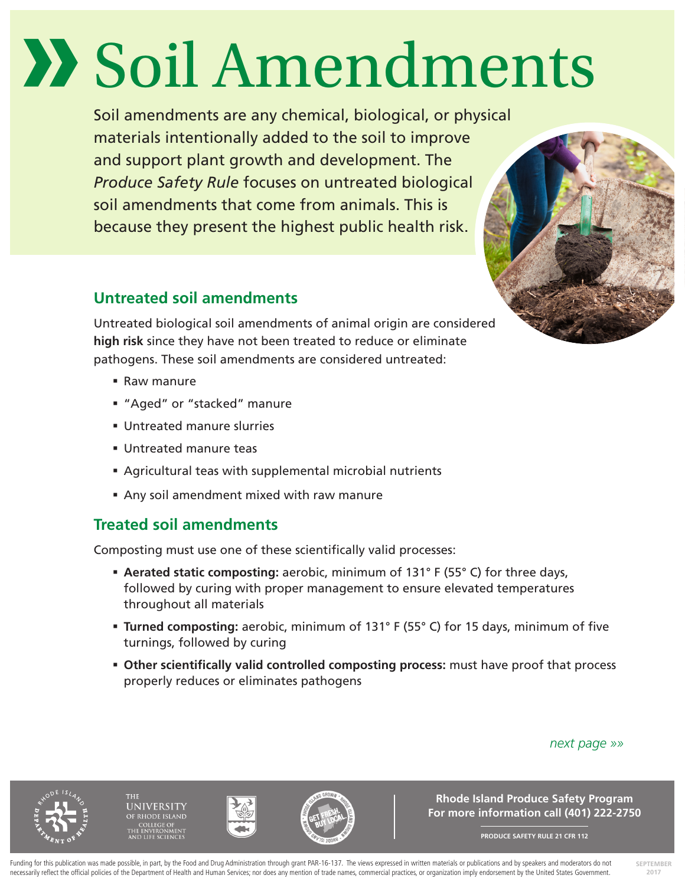# Soil Amendments

Soil amendments are any chemical, biological, or physical materials intentionally added to the soil to improve and support plant growth and development. The *Produce Safety Rule* focuses on untreated biological soil amendments that come from animals. This is because they present the highest public health risk.

## **Untreated soil amendments**



Untreated biological soil amendments of animal origin are considered **high risk** since they have not been treated to reduce or eliminate pathogens. These soil amendments are considered untreated:

- Raw manure
- "Aged" or "stacked" manure
- Untreated manure slurries
- Untreated manure teas
- Agricultural teas with supplemental microbial nutrients
- Any soil amendment mixed with raw manure

# **Treated soil amendments**

Composting must use one of these scientifically valid processes:

- **Aerated static composting:** aerobic, minimum of 131° F (55° C) for three days, followed by curing with proper management to ensure elevated temperatures throughout all materials
- **Turned composting:** aerobic, minimum of 131° F (55° C) for 15 days, minimum of five turnings, followed by curing
- **Other scientifically valid controlled composting process:** must have proof that process properly reduces or eliminates pathogens

#### *next page »»*

**NIVERSITY** 





**Rhode Island Produce Safety Program For more information call (401) 222-2750**

**PRODUCE SAFETY RULE 21 CFR 112**